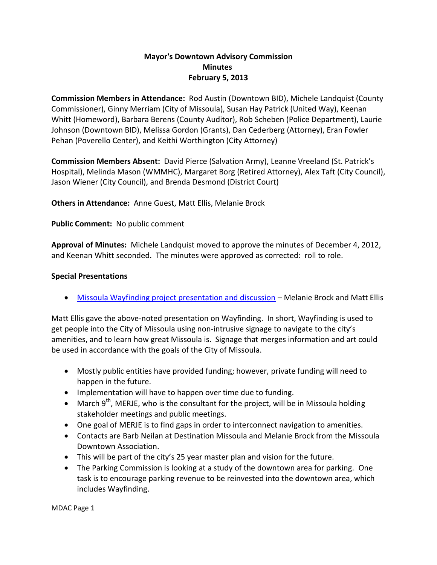# **Mayor's Downtown Advisory Commission Minutes February 5, 2013**

**Commission Members in Attendance:** Rod Austin (Downtown BID), Michele Landquist (County Commissioner), Ginny Merriam (City of Missoula), Susan Hay Patrick (United Way), Keenan Whitt (Homeword), Barbara Berens (County Auditor), Rob Scheben (Police Department), Laurie Johnson (Downtown BID), Melissa Gordon (Grants), Dan Cederberg (Attorney), Eran Fowler Pehan (Poverello Center), and Keithi Worthington (City Attorney)

**Commission Members Absent:** David Pierce (Salvation Army), Leanne Vreeland (St. Patrick's Hospital), Melinda Mason (WMMHC), Margaret Borg (Retired Attorney), Alex Taft (City Council), Jason Wiener (City Council), and Brenda Desmond (District Court)

**Others in Attendance:** Anne Guest, Matt Ellis, Melanie Brock

### **Public Comment:** No public comment

**Approval of Minutes:** Michele Landquist moved to approve the minutes of December 4, 2012, and Keenan Whitt seconded. The minutes were approved as corrected: roll to role.

### **Special Presentations**

[Missoula Wayfinding project presentation and discussion](http://mt-missoula2.civicplus.com/Archive.aspx?ADID=6541) – Melanie Brock and Matt Ellis

Matt Ellis gave the above-noted presentation on Wayfinding. In short, Wayfinding is used to get people into the City of Missoula using non-intrusive signage to navigate to the city's amenities, and to learn how great Missoula is. Signage that merges information and art could be used in accordance with the goals of the City of Missoula.

- Mostly public entities have provided funding; however, private funding will need to happen in the future.
- Implementation will have to happen over time due to funding.
- March  $9^{th}$ , MERJE, who is the consultant for the project, will be in Missoula holding stakeholder meetings and public meetings.
- One goal of MERJE is to find gaps in order to interconnect navigation to amenities.
- Contacts are Barb Neilan at Destination Missoula and Melanie Brock from the Missoula Downtown Association.
- This will be part of the city's 25 year master plan and vision for the future.
- The Parking Commission is looking at a study of the downtown area for parking. One task is to encourage parking revenue to be reinvested into the downtown area, which includes Wayfinding.

MDAC Page 1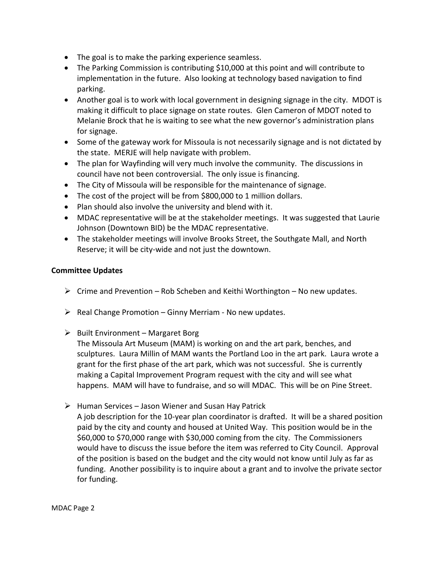- The goal is to make the parking experience seamless.
- The Parking Commission is contributing \$10,000 at this point and will contribute to implementation in the future. Also looking at technology based navigation to find parking.
- Another goal is to work with local government in designing signage in the city. MDOT is making it difficult to place signage on state routes. Glen Cameron of MDOT noted to Melanie Brock that he is waiting to see what the new governor's administration plans for signage.
- Some of the gateway work for Missoula is not necessarily signage and is not dictated by the state. MERJE will help navigate with problem.
- The plan for Wayfinding will very much involve the community. The discussions in council have not been controversial. The only issue is financing.
- The City of Missoula will be responsible for the maintenance of signage.
- The cost of the project will be from \$800,000 to 1 million dollars.
- Plan should also involve the university and blend with it.
- MDAC representative will be at the stakeholder meetings. It was suggested that Laurie Johnson (Downtown BID) be the MDAC representative.
- The stakeholder meetings will involve Brooks Street, the Southgate Mall, and North Reserve; it will be city-wide and not just the downtown.

# **Committee Updates**

- $\triangleright$  Crime and Prevention Rob Scheben and Keithi Worthington No new updates.
- $\triangleright$  Real Change Promotion Ginny Merriam No new updates.
- $\triangleright$  Built Environment Margaret Borg

The Missoula Art Museum (MAM) is working on and the art park, benches, and sculptures. Laura Millin of MAM wants the Portland Loo in the art park. Laura wrote a grant for the first phase of the art park, which was not successful. She is currently making a Capital Improvement Program request with the city and will see what happens. MAM will have to fundraise, and so will MDAC. This will be on Pine Street.

 $\triangleright$  Human Services – Jason Wiener and Susan Hay Patrick

A job description for the 10-year plan coordinator is drafted. It will be a shared position paid by the city and county and housed at United Way. This position would be in the \$60,000 to \$70,000 range with \$30,000 coming from the city. The Commissioners would have to discuss the issue before the item was referred to City Council. Approval of the position is based on the budget and the city would not know until July as far as funding. Another possibility is to inquire about a grant and to involve the private sector for funding.